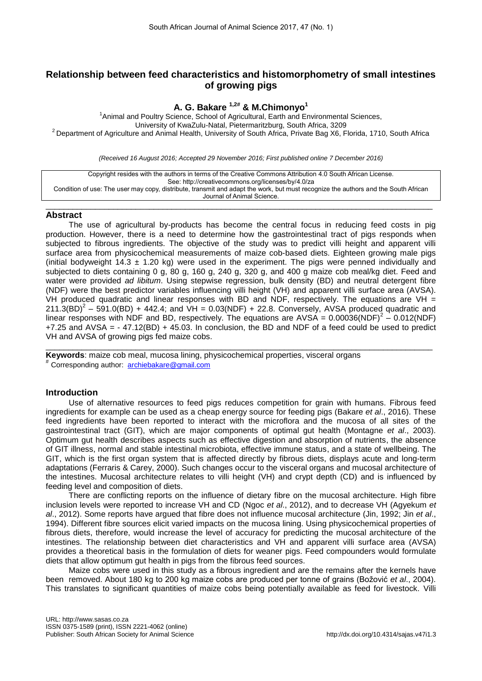# **Relationship between feed characteristics and histomorphometry of small intestines of growing pigs**

# **A. G. Bakare 1,2# & M.Chimonyo<sup>1</sup>**

<sup>1</sup> Animal and Poultry Science, School of Agricultural, Earth and Environmental Sciences, University of KwaZulu-Natal, Pietermaritzburg, South Africa, 3209 <sup>2</sup> Department of Agriculture and Animal Health, University of South Africa, Private Bag X6, Florida, 1710, South Africa

*(Received 16 August 2016; Accepted 29 November 2016; First published online 7 December 2016)*

Copyright resides with the authors in terms of the Creative Commons Attribution 4.0 South African License. See: http://creativecommons.org/licenses/by/4.0/za Condition of use: The user may copy, distribute, transmit and adapt the work, but must recognize the authors and the South African Journal of Animal Science.

\_\_\_\_\_\_\_\_\_\_\_\_\_\_\_\_\_\_\_\_\_\_\_\_\_\_\_\_\_\_\_\_\_\_\_\_\_\_\_\_\_\_\_\_\_\_\_\_\_\_\_\_\_\_\_\_\_\_\_\_\_\_\_\_\_\_\_\_\_\_\_\_\_\_\_\_\_\_\_\_\_\_\_\_\_\_

### **Abstract**

The use of agricultural by-products has become the central focus in reducing feed costs in pig production. However, there is a need to determine how the gastrointestinal tract of pigs responds when subjected to fibrous ingredients. The objective of the study was to predict villi height and apparent villi surface area from physicochemical measurements of maize cob-based diets. Eighteen growing male pigs (initial bodyweight  $14.3 \pm 1.20$  kg) were used in the experiment. The pigs were penned individually and subjected to diets containing 0 g, 80 g, 160 g, 240 g, 320 g, and 400 g maize cob meal/kg diet. Feed and water were provided *ad libitum*. Using stepwise regression, bulk density (BD) and neutral detergent fibre (NDF) were the best predictor variables influencing villi height (VH) and apparent villi surface area (AVSA). VH produced quadratic and linear responses with BD and NDF, respectively. The equations are VH  $=$ 211.3(BD)<sup>2</sup> – 591.0(BD) + 442.4; and VH = 0.03(NDF) + 22.8. Conversely, AVSA produced quadratic and linear responses with NDF and BD, respectively. The equations are AVSA =  $0.00036(NDF)^{2} - 0.012(NDF)$ +7.25 and AVSA = - 47.12(BD) + 45.03. In conclusion, the BD and NDF of a feed could be used to predict VH and AVSA of growing pigs fed maize cobs.

\_\_\_\_\_\_\_\_\_\_\_\_\_\_\_\_\_\_\_\_\_\_\_\_\_\_\_\_\_\_\_\_\_\_\_\_\_\_\_\_\_\_\_\_\_\_\_\_\_\_\_\_\_\_\_\_\_\_\_\_\_\_\_\_\_\_\_\_\_\_\_\_\_\_\_\_\_\_\_\_\_\_\_\_\_\_

**Keywords**: maize cob meal, mucosa lining, physicochemical properties, visceral organs # Corresponding author: [archiebakare@gmail.com](mailto:archiebakare@gmail.com)

# **Introduction**

Use of alternative resources to feed pigs reduces competition for grain with humans. Fibrous feed ingredients for example can be used as a cheap energy source for feeding pigs (Bakare *et al*., 2016). These feed ingredients have been reported to interact with the microflora and the mucosa of all sites of the gastrointestinal tract (GIT), which are major components of optimal gut health (Montagne *et al*., 2003). Optimum gut health describes aspects such as effective digestion and absorption of nutrients, the absence of GIT illness, normal and stable intestinal microbiota, effective immune status, and a state of wellbeing. The GIT, which is the first organ system that is affected directly by fibrous diets, displays acute and long-term adaptations (Ferraris & Carey, 2000). Such changes occur to the visceral organs and mucosal architecture of the intestines. Mucosal architecture relates to villi height (VH) and crypt depth (CD) and is influenced by feeding level and composition of diets.

There are conflicting reports on the influence of dietary fibre on the mucosal architecture. High fibre inclusion levels were reported to increase VH and CD (Ngoc *et al*., 2012), and to decrease VH (Agyekum *et al*., 2012). Some reports have argued that fibre does not influence mucosal architecture (Jin, 1992; Jin *et al*., 1994). Different fibre sources elicit varied impacts on the mucosa lining. Using physicochemical properties of fibrous diets, therefore, would increase the level of accuracy for predicting the mucosal architecture of the intestines. The relationship between diet characteristics and VH and apparent villi surface area (AVSA) provides a theoretical basis in the formulation of diets for weaner pigs. Feed compounders would formulate diets that allow optimum gut health in pigs from the fibrous feed sources.

Maize cobs were used in this study as a fibrous ingredient and are the remains after the kernels have been removed. About 180 kg to 200 kg maize cobs are produced per tonne of grains (Božović *et al*., 2004). This translates to significant quantities of maize cobs being potentially available as feed for livestock. Villi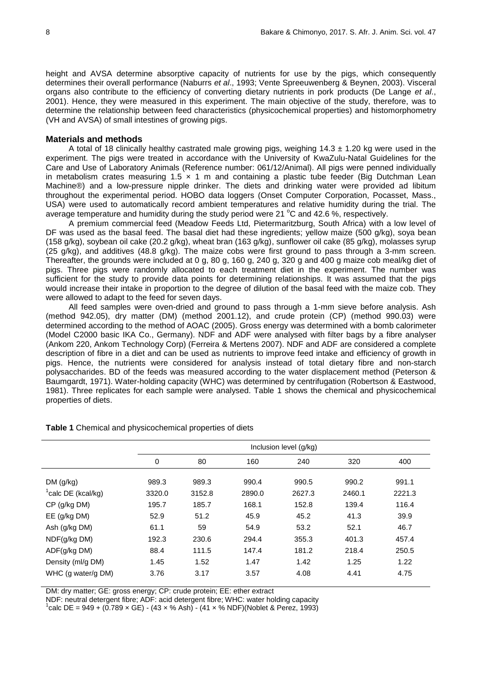height and AVSA determine absorptive capacity of nutrients for use by the pigs, which consequently determines their overall performance (Naburrs *et al*., 1993; Vente Spreeuwenberg & Beynen, 2003). Visceral organs also contribute to the efficiency of converting dietary nutrients in pork products (De Lange *et al*., 2001). Hence, they were measured in this experiment. The main objective of the study, therefore, was to determine the relationship between feed characteristics (physicochemical properties) and histomorphometry (VH and AVSA) of small intestines of growing pigs.

## **Materials and methods**

A total of 18 clinically healthy castrated male growing pigs, weighing  $14.3 \pm 1.20$  kg were used in the experiment. The pigs were treated in accordance with the University of KwaZulu-Natal Guidelines for the Care and Use of Laboratory Animals (Reference number: 061/12/Animal). All pigs were penned individually in metabolism crates measuring  $1.5 \times 1$  m and containing a plastic tube feeder (Big Dutchman Lean Machine®) and a low-pressure nipple drinker. The diets and drinking water were provided ad libitum throughout the experimental period. HOBO data loggers (Onset Computer Corporation, Pocasset, Mass., USA) were used to automatically record ambient temperatures and relative humidity during the trial. The average temperature and humidity during the study period were 21  $^{\circ}$ C and 42.6 %, respectively.

A premium commercial feed (Meadow Feeds Ltd, Pietermaritzburg, South Africa) with a low level of DF was used as the basal feed. The basal diet had these ingredients; yellow maize (500 g/kg), soya bean (158 g/kg), soybean oil cake (20.2 g/kg), wheat bran (163 g/kg), sunflower oil cake (85 g/kg), molasses syrup (25 g/kg), and additives (48.8 g/kg). The maize cobs were first ground to pass through a 3-mm screen. Thereafter, the grounds were included at 0 g, 80 g, 160 g, 240 g, 320 g and 400 g maize cob meal/kg diet of pigs. Three pigs were randomly allocated to each treatment diet in the experiment. The number was sufficient for the study to provide data points for determining relationships. It was assumed that the pigs would increase their intake in proportion to the degree of dilution of the basal feed with the maize cob. They were allowed to adapt to the feed for seven days.

All feed samples were oven-dried and ground to pass through a 1-mm sieve before analysis. Ash (method 942.05), dry matter (DM) (method 2001.12), and crude protein (CP) (method 990.03) were determined according to the method of AOAC (2005). Gross energy was determined with a bomb calorimeter (Model C2000 basic IKA Co., Germany). NDF and ADF were analysed with filter bags by a fibre analyser (Ankom 220, Ankom Technology Corp) (Ferreira & Mertens 2007). NDF and ADF are considered a complete description of fibre in a diet and can be used as nutrients to improve feed intake and efficiency of growth in pigs. Hence, the nutrients were considered for analysis instead of total dietary fibre and non-starch polysaccharides. BD of the feeds was measured according to the water displacement method (Peterson & Baumgardt, 1971). Water-holding capacity (WHC) was determined by centrifugation (Robertson & Eastwood, 1981). Three replicates for each sample were analysed. Table 1 shows the chemical and physicochemical properties of diets.

|                                | Inclusion level (g/kg) |        |        |        |        |        |  |  |
|--------------------------------|------------------------|--------|--------|--------|--------|--------|--|--|
|                                | 0                      | 80     | 160    | 240    | 320    | 400    |  |  |
| DM(g/kg)                       | 989.3                  | 989.3  | 990.4  | 990.5  | 990.2  | 991.1  |  |  |
| <sup>1</sup> calc DE (kcal/kg) | 3320.0                 | 3152.8 | 2890.0 | 2627.3 | 2460.1 | 2221.3 |  |  |
| $CP$ (g/kg DM)                 | 195.7                  | 185.7  | 168.1  | 152.8  | 139.4  | 116.4  |  |  |
| EE (g/kg DM)                   | 52.9                   | 51.2   | 45.9   | 45.2   | 41.3   | 39.9   |  |  |
| Ash (g/kg DM)                  | 61.1                   | 59     | 54.9   | 53.2   | 52.1   | 46.7   |  |  |
| NDF(g/kg DM)                   | 192.3                  | 230.6  | 294.4  | 355.3  | 401.3  | 457.4  |  |  |
| ADF(g/kg DM)                   | 88.4                   | 111.5  | 147.4  | 181.2  | 218.4  | 250.5  |  |  |
| Density (ml/g DM)              | 1.45                   | 1.52   | 1.47   | 1.42   | 1.25   | 1.22   |  |  |
| WHC (q water/q DM)             | 3.76                   | 3.17   | 3.57   | 4.08   | 4.41   | 4.75   |  |  |

**Table 1** Chemical and physicochemical properties of diets

DM: dry matter; GE: gross energy; CP: crude protein; EE: ether extract

NDF: neutral detergent fibre; ADF: acid detergent fibre; WHC: water holding capacity

 $^{1}$ calc DE = 949 + (0.789 x GE) - (43 x % Ash) - (41 x % NDF)(Noblet & Perez, 1993)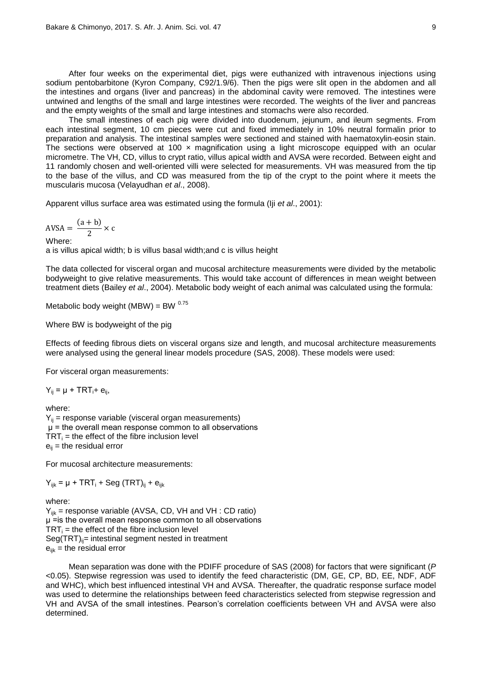After four weeks on the experimental diet, pigs were euthanized with intravenous injections using sodium pentobarbitone (Kyron Company, C92/1.9/6). Then the pigs were slit open in the abdomen and all the intestines and organs (liver and pancreas) in the abdominal cavity were removed. The intestines were untwined and lengths of the small and large intestines were recorded. The weights of the liver and pancreas and the empty weights of the small and large intestines and stomachs were also recorded.

The small intestines of each pig were divided into duodenum, jejunum, and ileum segments. From each intestinal segment, 10 cm pieces were cut and fixed immediately in 10% neutral formalin prior to preparation and analysis. The intestinal samples were sectioned and stained with haematoxylin-eosin stain. The sections were observed at 100  $\times$  magnification using a light microscope equipped with an ocular micrometre. The VH, CD, villus to crypt ratio, villus apical width and AVSA were recorded. Between eight and 11 randomly chosen and well-oriented villi were selected for measurements. VH was measured from the tip to the base of the villus, and CD was measured from the tip of the crypt to the point where it meets the muscularis mucosa (Velayudhan *et al*., 2008).

Apparent villus surface area was estimated using the formula (Iji *et al*., 2001):

$$
AVSA = \frac{(a+b)}{2} \times c
$$
  
Where

a is villus apical width; b is villus basal width;and c is villus height

The data collected for visceral organ and mucosal architecture measurements were divided by the metabolic bodyweight to give relative measurements. This would take account of differences in mean weight between treatment diets (Bailey *et al*., 2004). Metabolic body weight of each animal was calculated using the formula:

Metabolic body weight (MBW) = BW  $^{0.75}$ 

Where BW is bodyweight of the pig

Effects of feeding fibrous diets on visceral organs size and length, and mucosal architecture measurements were analysed using the general linear models procedure (SAS, 2008). These models were used:

For visceral organ measurements:

 $Y_{ii} = \mu + TRT_i + e_{ii}$ 

where:

 $Y_{ii}$  = response variable (visceral organ measurements)  $\mu$  = the overall mean response common to all observations  $TRT_i$  = the effect of the fibre inclusion level  $e_{ii}$  = the residual error

For mucosal architecture measurements:

 $Y_{iik} = \mu + TRT_i + Seg (TRT)_{ii} + e_{iik}$ 

where:

 $Y_{ijk}$  = response variable (AVSA, CD, VH and VH : CD ratio) μ =is the overall mean response common to all observations  $TRT_i$  = the effect of the fibre inclusion level  $Seg(TRT)_{ii}=$  intestinal segment nested in treatment  $e_{ijk}$  = the residual error

Mean separation was done with the PDIFF procedure of SAS (2008) for factors that were significant (*P* <0.05). Stepwise regression was used to identify the feed characteristic (DM, GE, CP, BD, EE, NDF, ADF and WHC), which best influenced intestinal VH and AVSA. Thereafter, the quadratic response surface model was used to determine the relationships between feed characteristics selected from stepwise regression and VH and AVSA of the small intestines. Pearson's correlation coefficients between VH and AVSA were also determined.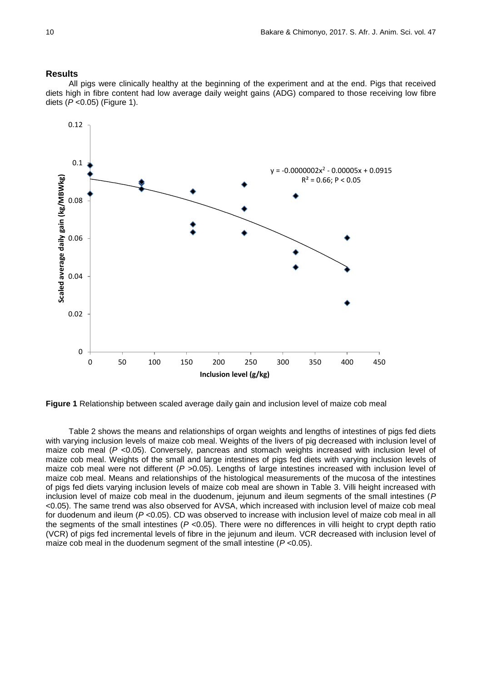### **Results**

All pigs were clinically healthy at the beginning of the experiment and at the end. Pigs that received diets high in fibre content had low average daily weight gains (ADG) compared to those receiving low fibre diets (*P* <0.05) (Figure 1).



**Figure 1** Relationship between scaled average daily gain and inclusion level of maize cob meal

Table 2 shows the means and relationships of organ weights and lengths of intestines of pigs fed diets with varying inclusion levels of maize cob meal. Weights of the livers of pig decreased with inclusion level of maize cob meal ( $P$  <0.05). Conversely, pancreas and stomach weights increased with inclusion level of maize cob meal. Weights of the small and large intestines of pigs fed diets with varying inclusion levels of maize cob meal were not different (*P* >0.05). Lengths of large intestines increased with inclusion level of maize cob meal. Means and relationships of the histological measurements of the mucosa of the intestines of pigs fed diets varying inclusion levels of maize cob meal are shown in Table 3. Villi height increased with inclusion level of maize cob meal in the duodenum, jejunum and ileum segments of the small intestines (*P* <0.05). The same trend was also observed for AVSA, which increased with inclusion level of maize cob meal for duodenum and ileum (*P* <0.05). CD was observed to increase with inclusion level of maize cob meal in all the segments of the small intestines (*P* <0.05). There were no differences in villi height to crypt depth ratio (VCR) of pigs fed incremental levels of fibre in the jejunum and ileum. VCR decreased with inclusion level of maize cob meal in the duodenum segment of the small intestine (*P* <0.05).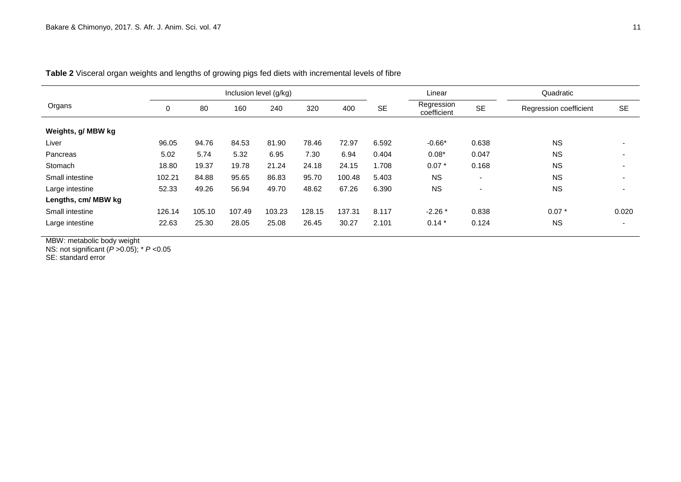|                     | Inclusion level (g/kg) |        |        |        |        |        |           | Linear                    |                          | Quadratic              |                          |
|---------------------|------------------------|--------|--------|--------|--------|--------|-----------|---------------------------|--------------------------|------------------------|--------------------------|
| Organs              | 0                      | 80     | 160    | 240    | 320    | 400    | <b>SE</b> | Regression<br>coefficient | <b>SE</b>                | Regression coefficient | <b>SE</b>                |
| Weights, g/ MBW kg  |                        |        |        |        |        |        |           |                           |                          |                        |                          |
| Liver               | 96.05                  | 94.76  | 84.53  | 81.90  | 78.46  | 72.97  | 6.592     | $-0.66*$                  | 0.638                    | <b>NS</b>              | $\overline{\phantom{0}}$ |
| Pancreas            | 5.02                   | 5.74   | 5.32   | 6.95   | 7.30   | 6.94   | 0.404     | $0.08*$                   | 0.047                    | <b>NS</b>              | $\overline{\phantom{0}}$ |
| Stomach             | 18.80                  | 19.37  | 19.78  | 21.24  | 24.18  | 24.15  | 1.708     | $0.07*$                   | 0.168                    | <b>NS</b>              | ۰                        |
| Small intestine     | 102.21                 | 84.88  | 95.65  | 86.83  | 95.70  | 100.48 | 5.403     | <b>NS</b>                 |                          | <b>NS</b>              | ۰                        |
| Large intestine     | 52.33                  | 49.26  | 56.94  | 49.70  | 48.62  | 67.26  | 6.390     | <b>NS</b>                 | $\overline{\phantom{a}}$ | <b>NS</b>              | ۰                        |
| Lengths, cm/ MBW kg |                        |        |        |        |        |        |           |                           |                          |                        |                          |
| Small intestine     | 126.14                 | 105.10 | 107.49 | 103.23 | 128.15 | 137.31 | 8.117     | $-2.26*$                  | 0.838                    | $0.07*$                | 0.020                    |
| Large intestine     | 22.63                  | 25.30  | 28.05  | 25.08  | 26.45  | 30.27  | 2.101     | $0.14*$                   | 0.124                    | <b>NS</b>              | $\overline{\phantom{0}}$ |

**Table 2** Visceral organ weights and lengths of growing pigs fed diets with incremental levels of fibre

MBW: metabolic body weight

NS: not significant (*P* >0.05); \* *P* <0.05

SE: standard error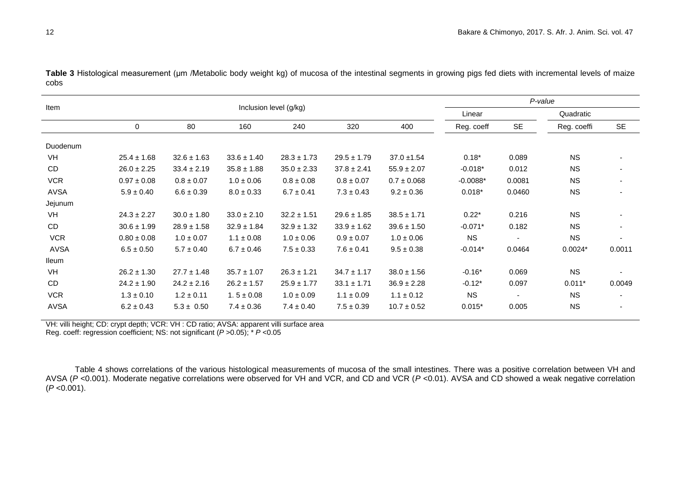| Item         |                 | Inclusion level (g/kg) |                 |                 |                 |                 |            | P-value                  |             |                          |  |  |
|--------------|-----------------|------------------------|-----------------|-----------------|-----------------|-----------------|------------|--------------------------|-------------|--------------------------|--|--|
|              |                 |                        |                 |                 |                 |                 |            | Linear                   |             | Quadratic                |  |  |
|              | $\mathbf 0$     | 80                     | 160             | 240             | 320             | 400             | Reg. coeff | <b>SE</b>                | Reg. coeffi | <b>SE</b>                |  |  |
| Duodenum     |                 |                        |                 |                 |                 |                 |            |                          |             |                          |  |  |
| VH           | $25.4 \pm 1.68$ | $32.6 \pm 1.63$        | $33.6 \pm 1.40$ | $28.3 \pm 1.73$ | $29.5 \pm 1.79$ | $37.0 \pm 1.54$ | $0.18*$    | 0.089                    | <b>NS</b>   |                          |  |  |
| <b>CD</b>    | $26.0 \pm 2.25$ | $33.4 \pm 2.19$        | $35.8 \pm 1.88$ | $35.0 \pm 2.33$ | $37.8 \pm 2.41$ | $55.9 \pm 2.07$ | $-0.018*$  | 0.012                    | <b>NS</b>   |                          |  |  |
| <b>VCR</b>   | $0.97 \pm 0.08$ | $0.8 \pm 0.07$         | $1.0 \pm 0.06$  | $0.8 \pm 0.08$  | $0.8 \pm 0.07$  | $0.7 \pm 0.068$ | $-0.0088*$ | 0.0081                   | <b>NS</b>   |                          |  |  |
| <b>AVSA</b>  | $5.9 \pm 0.40$  | $6.6 \pm 0.39$         | $8.0 \pm 0.33$  | $6.7 \pm 0.41$  | $7.3 \pm 0.43$  | $9.2 \pm 0.36$  | $0.018*$   | 0.0460                   | <b>NS</b>   | $\blacksquare$           |  |  |
| Jejunum      |                 |                        |                 |                 |                 |                 |            |                          |             |                          |  |  |
| <b>VH</b>    | $24.3 \pm 2.27$ | $30.0 \pm 1.80$        | $33.0 \pm 2.10$ | $32.2 \pm 1.51$ | $29.6 \pm 1.85$ | $38.5 \pm 1.71$ | $0.22*$    | 0.216                    | <b>NS</b>   |                          |  |  |
| <b>CD</b>    | $30.6 \pm 1.99$ | $28.9 \pm 1.58$        | $32.9 \pm 1.84$ | $32.9 \pm 1.32$ | $33.9 \pm 1.62$ | $39.6 \pm 1.50$ | $-0.071*$  | 0.182                    | <b>NS</b>   | $\blacksquare$           |  |  |
| <b>VCR</b>   | $0.80 \pm 0.08$ | $1.0 \pm 0.07$         | $1.1 \pm 0.08$  | $1.0 \pm 0.06$  | $0.9 \pm 0.07$  | $1.0 \pm 0.06$  | <b>NS</b>  |                          | <b>NS</b>   |                          |  |  |
| <b>AVSA</b>  | $6.5 \pm 0.50$  | $5.7 \pm 0.40$         | $6.7 \pm 0.46$  | $7.5 \pm 0.33$  | $7.6 \pm 0.41$  | $9.5 \pm 0.38$  | $-0.014*$  | 0.0464                   | $0.0024*$   | 0.0011                   |  |  |
| <b>Ileum</b> |                 |                        |                 |                 |                 |                 |            |                          |             |                          |  |  |
| <b>VH</b>    | $26.2 \pm 1.30$ | $27.7 \pm 1.48$        | $35.7 \pm 1.07$ | $26.3 \pm 1.21$ | $34.7 \pm 1.17$ | $38.0 \pm 1.56$ | $-0.16*$   | 0.069                    | <b>NS</b>   |                          |  |  |
| <b>CD</b>    | $24.2 \pm 1.90$ | $24.2 \pm 2.16$        | $26.2 \pm 1.57$ | $25.9 \pm 1.77$ | $33.1 \pm 1.71$ | $36.9 \pm 2.28$ | $-0.12*$   | 0.097                    | $0.011*$    | 0.0049                   |  |  |
| <b>VCR</b>   | $1.3 \pm 0.10$  | $1.2 \pm 0.11$         | $1.5 \pm 0.08$  | $1.0 \pm 0.09$  | $1.1 \pm 0.09$  | $1.1 \pm 0.12$  | <b>NS</b>  | $\overline{\phantom{a}}$ | <b>NS</b>   | $\overline{\phantom{a}}$ |  |  |
| <b>AVSA</b>  | $6.2 \pm 0.43$  | $5.3 \pm 0.50$         | $7.4 \pm 0.36$  | $7.4 \pm 0.40$  | $7.5 \pm 0.39$  | $10.7 \pm 0.52$ | $0.015*$   | 0.005                    | <b>NS</b>   | $\overline{\phantom{a}}$ |  |  |

**Table 3** Histological measurement (μm /Metabolic body weight kg) of mucosa of the intestinal segments in growing pigs fed diets with incremental levels of maize cobs

VH: villi height; CD: crypt depth; VCR: VH : CD ratio; AVSA: apparent villi surface area

Reg. coeff: regression coefficient; NS: not significant (*P* >0.05); \* *P* <0.05

Table 4 shows correlations of the various histological measurements of mucosa of the small intestines. There was a positive correlation between VH and AVSA (P <0.001). Moderate negative correlations were observed for VH and VCR, and CD and VCR (P <0.01). AVSA and CD showed a weak negative correlation  $(P < 0.001)$ .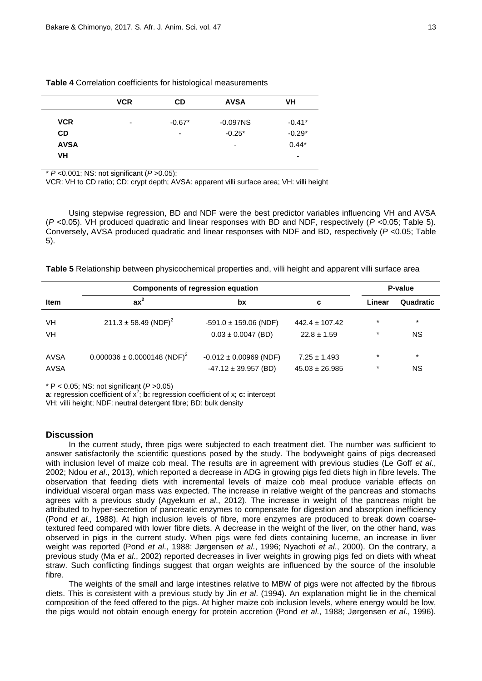|             | <b>VCR</b> | <b>CD</b> | <b>AVSA</b> | VH       |
|-------------|------------|-----------|-------------|----------|
| <b>VCR</b>  |            | $-0.67*$  | $-0.097N$   | $-0.41*$ |
| <b>CD</b>   | ۰          | ۰         | $-0.25*$    | $-0.29*$ |
| <b>AVSA</b> |            |           |             | $0.44*$  |
| VH          |            |           |             | ٠        |
|             |            |           |             |          |

**Table 4** Correlation coefficients for histological measurements

\* *P* <0.001; NS: not significant (*P* >0.05);

VCR: VH to CD ratio; CD: crypt depth; AVSA: apparent villi surface area; VH: villi height

Using stepwise regression, BD and NDF were the best predictor variables influencing VH and AVSA (*P* <0.05). VH produced quadratic and linear responses with BD and NDF, respectively (*P* <0.05; Table 5). Conversely, AVSA produced quadratic and linear responses with NDF and BD, respectively (*P* <0.05; Table 5).

**Table 5** Relationship between physicochemical properties and, villi height and apparent villi surface area

|             | P-value                                     |                            |                    |         |           |
|-------------|---------------------------------------------|----------------------------|--------------------|---------|-----------|
| <b>Item</b> | $ax^2$                                      | bx                         | c                  | Linear  | Quadratic |
| <b>VH</b>   | $211.3 \pm 58.49$ (NDF) <sup>2</sup>        | $-591.0 \pm 159.06$ (NDF)  | $442.4 \pm 107.42$ | $\star$ | $\star$   |
| <b>VH</b>   |                                             | $0.03 \pm 0.0047$ (BD)     | $22.8 \pm 1.59$    | $\star$ | <b>NS</b> |
| AVSA        | $0.000036 \pm 0.0000148$ (NDF) <sup>2</sup> | $-0.012 \pm 0.00969$ (NDF) | $7.25 \pm 1.493$   | $\star$ | $\star$   |
| <b>AVSA</b> |                                             | $-47.12 \pm 39.957$ (BD)   | $45.03 \pm 26.985$ | $\star$ | <b>NS</b> |

\* P < 0.05; NS: not significant (*P* >0.05)

**a**: regression coefficient of x<sup>2</sup>; **b:** regression coefficient of x; **c:** intercept

VH: villi height; NDF: neutral detergent fibre; BD: bulk density

## **Discussion**

In the current study, three pigs were subjected to each treatment diet. The number was sufficient to answer satisfactorily the scientific questions posed by the study. The bodyweight gains of pigs decreased with inclusion level of maize cob meal. The results are in agreement with previous studies (Le Goff *et al*., 2002; Ndou *et al*., 2013), which reported a decrease in ADG in growing pigs fed diets high in fibre levels. The observation that feeding diets with incremental levels of maize cob meal produce variable effects on individual visceral organ mass was expected. The increase in relative weight of the pancreas and stomachs agrees with a previous study (Agyekum *et al*., 2012). The increase in weight of the pancreas might be attributed to hyper-secretion of pancreatic enzymes to compensate for digestion and absorption inefficiency (Pond *et al*., 1988). At high inclusion levels of fibre, more enzymes are produced to break down coarsetextured feed compared with lower fibre diets. A decrease in the weight of the liver, on the other hand, was observed in pigs in the current study. When pigs were fed diets containing lucerne, an increase in liver weight was reported (Pond *et al*., 1988; Jørgensen *et al*., 1996; Nyachoti *et al*., 2000). On the contrary, a previous study (Ma *et al*., 2002) reported decreases in liver weights in growing pigs fed on diets with wheat straw. Such conflicting findings suggest that organ weights are influenced by the source of the insoluble fibre.

The weights of the small and large intestines relative to MBW of pigs were not affected by the fibrous diets. This is consistent with a previous study by Jin *et al*. (1994). An explanation might lie in the chemical composition of the feed offered to the pigs. At higher maize cob inclusion levels, where energy would be low, the pigs would not obtain enough energy for protein accretion (Pond *et al*., 1988; Jørgensen *et al*., 1996).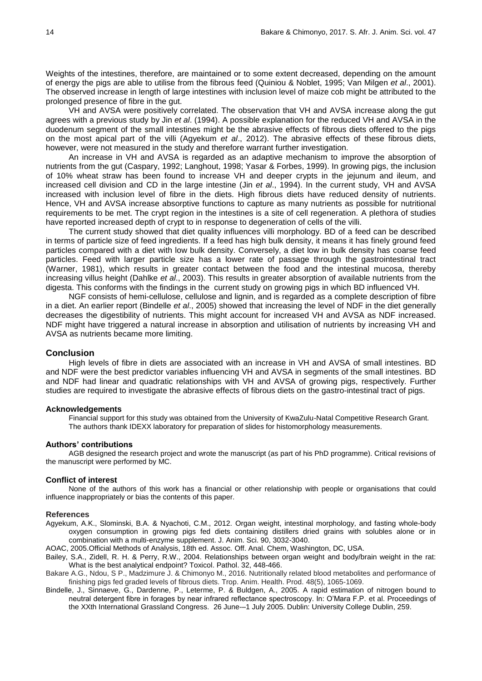Weights of the intestines, therefore, are maintained or to some extent decreased, depending on the amount of energy the pigs are able to utilise from the fibrous feed (Quiniou & Noblet, 1995; Van Milgen *et al*., 2001). The observed increase in length of large intestines with inclusion level of maize cob might be attributed to the prolonged presence of fibre in the gut.

VH and AVSA were positively correlated. The observation that VH and AVSA increase along the gut agrees with a previous study by Jin *et al*. (1994). A possible explanation for the reduced VH and AVSA in the duodenum segment of the small intestines might be the abrasive effects of fibrous diets offered to the pigs on the most apical part of the villi (Agyekum *et al*., 2012). The abrasive effects of these fibrous diets, however, were not measured in the study and therefore warrant further investigation.

An increase in VH and AVSA is regarded as an adaptive mechanism to improve the absorption of nutrients from the gut (Caspary, 1992; Langhout, 1998; Yasar & Forbes, 1999). In growing pigs, the inclusion of 10% wheat straw has been found to increase VH and deeper crypts in the jejunum and ileum, and increased cell division and CD in the large intestine (Jin *et al*., 1994). In the current study, VH and AVSA increased with inclusion level of fibre in the diets. High fibrous diets have reduced density of nutrients. Hence, VH and AVSA increase absorptive functions to capture as many nutrients as possible for nutritional requirements to be met. The crypt region in the intestines is a site of cell regeneration. A plethora of studies have reported increased depth of crypt to in response to degeneration of cells of the villi.

The current study showed that diet quality influences villi morphology. BD of a feed can be described in terms of particle size of feed ingredients. If a feed has high bulk density, it means it has finely ground feed particles compared with a diet with low bulk density. Conversely, a diet low in bulk density has coarse feed particles. Feed with larger particle size has a lower rate of passage through the gastrointestinal tract (Warner, 1981), which results in greater contact between the food and the intestinal mucosa, thereby increasing villus height (Dahlke *et al*., 2003). This results in greater absorption of available nutrients from the digesta. This conforms with the findings in the current study on growing pigs in which BD influenced VH.

NGF consists of hemi-cellulose, cellulose and lignin, and is regarded as a complete description of fibre in a diet. An earlier report (Bindelle *et al*., 2005) showed that increasing the level of NDF in the diet generally decreases the digestibility of nutrients. This might account for increased VH and AVSA as NDF increased. NDF might have triggered a natural increase in absorption and utilisation of nutrients by increasing VH and AVSA as nutrients became more limiting.

# **Conclusion**

High levels of fibre in diets are associated with an increase in VH and AVSA of small intestines. BD and NDF were the best predictor variables influencing VH and AVSA in segments of the small intestines. BD and NDF had linear and quadratic relationships with VH and AVSA of growing pigs, respectively. Further studies are required to investigate the abrasive effects of fibrous diets on the gastro-intestinal tract of pigs.

#### **Acknowledgements**

Financial support for this study was obtained from the University of KwaZulu-Natal Competitive Research Grant. The authors thank IDEXX laboratory for preparation of slides for histomorphology measurements.

#### **Authors' contributions**

AGB designed the research project and wrote the manuscript (as part of his PhD programme). Critical revisions of the manuscript were performed by MC.

#### **Conflict of interest**

None of the authors of this work has a financial or other relationship with people or organisations that could influence inappropriately or bias the contents of this paper.

#### **References**

Agyekum, A.K., Slominski, B.A. & Nyachoti, C.M., 2012. Organ weight, intestinal morphology, and fasting whole-body oxygen consumption in growing pigs fed diets containing distillers dried grains with solubles alone or in combination with a multi-enzyme supplement. J. Anim. Sci. 90, 3032-3040.

AOAC, 2005.Official Methods of Analysis, 18th ed. Assoc. Off. Anal. Chem, Washington, DC, USA.

- Bailey, S.A., Zidell, R. H. & Perry, R.W., 2004. Relationships between organ weight and body/brain weight in the rat: What is the best analytical endpoint? Toxicol. Pathol. 32, 448-466.
- Bakare A.G., Ndou, S P., Madzimure J. & Chimonyo M., 2016. Nutritionally related blood metabolites and performance of finishing pigs fed graded levels of fibrous diets. Trop. Anim. Health. Prod. 48(5), 1065-1069.
- Bindelle, J., Sinnaeve, G., Dardenne, P., Leterme, P. & Buldgen, A., 2005. A rapid estimation of nitrogen bound to neutral detergent fibre in forages by near infrared reflectance spectroscopy. In: O'Mara F.P. et al. Proceedings of the XXth International Grassland Congress. 26 June-–1 July 2005. Dublin: University College Dublin, 259.